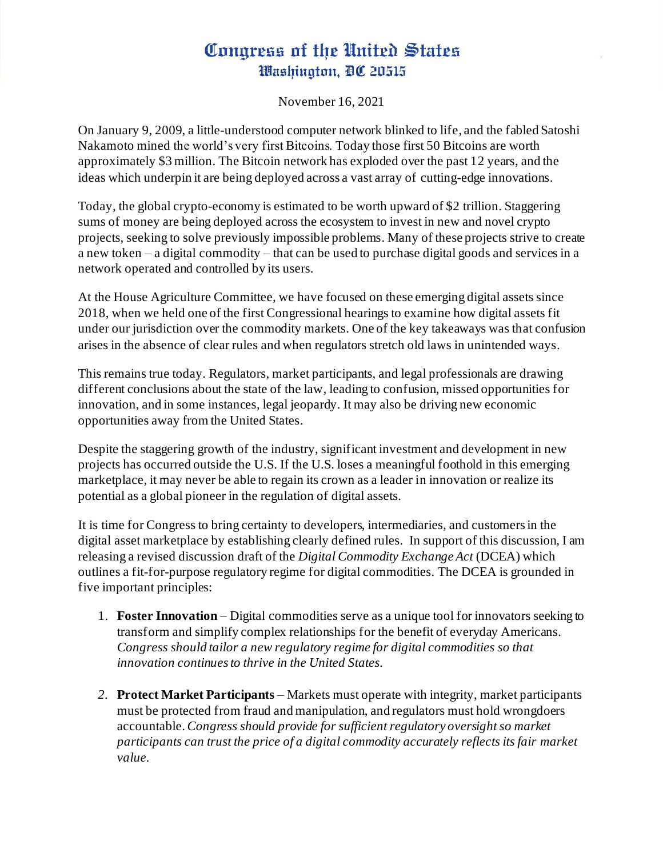## Congress of the United States Washington, DC 20515

November 16, 2021

On January 9, 2009, a little-understood computer network blinked to life, and the fabled Satoshi Nakamoto mined the world's very first Bitcoins. Today those first 50 Bitcoins are worth approximately \$3 million. The Bitcoin network has exploded over the past 12 years, and the ideas which underpin it are being deployed across a vast array of cutting-edge innovations.

Today, the global crypto-economy is estimated to be worth upward of \$2 trillion. Staggering sums of money are being deployed across the ecosystem to invest in new and novel crypto projects, seeking to solve previously impossible problems. Many of these projects strive to create a new token – a digital commodity – that can be used to purchase digital goods and services in a network operated and controlled by its users.

At the House Agriculture Committee, we have focused on these emerging digital assets since 2018, when we held one of the first Congressional hearings to examine how digital assets fit under our jurisdiction over the commodity markets. One of the key takeaways was that confusion arises in the absence of clear rules and when regulators stretch old laws in unintended ways.

This remains true today. Regulators, market participants, and legal professionals are drawing different conclusions about the state of the law, leading to confusion, missed opportunities for innovation, and in some instances, legal jeopardy. It may also be driving new economic opportunities away from the United States.

Despite the staggering growth of the industry, significant investment and development in new projects has occurred outside the U.S. If the U.S. loses a meaningful foothold in this emerging marketplace, it may never be able to regain its crown as a leader in innovation or realize its potential as a global pioneer in the regulation of digital assets.

It is time for Congress to bring certainty to developers, intermediaries, and customersin the digital asset marketplace by establishing clearly defined rules. In support of this discussion, I am releasing a revised discussion draft of the *Digital Commodity Exchange Act* (DCEA) which outlines a fit-for-purpose regulatory regime for digital commodities. The DCEA is grounded in five important principles:

- 1. **Foster Innovation** Digital commodities serve as a unique tool for innovators seeking to transform and simplify complex relationships for the benefit of everyday Americans. *Congress should tailor a new regulatory regime for digital commodities so that innovation continues to thrive in the United States.*
- *2.* **Protect Market Participants**  Markets must operate with integrity, market participants must be protected from fraud and manipulation, and regulators must hold wrongdoers accountable.*Congress should provide for sufficient regulatory oversight so market participants can trust the price of a digital commodity accurately reflects its fair market value.*